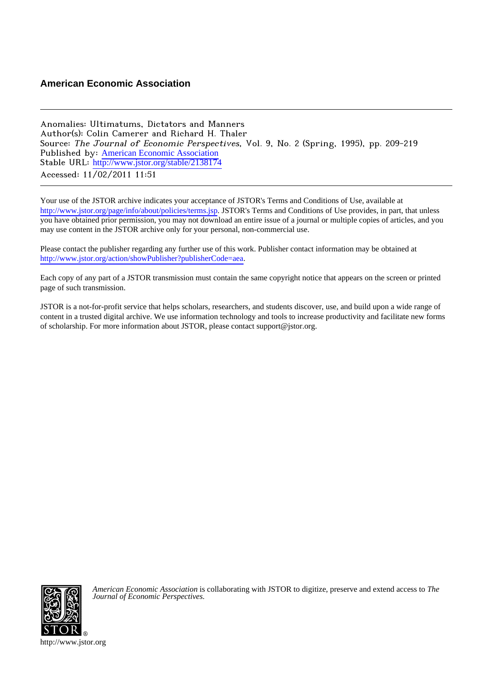# **American Economic Association**

Anomalies: Ultimatums, Dictators and Manners Author(s): Colin Camerer and Richard H. Thaler Source: The Journal of Economic Perspectives, Vol. 9, No. 2 (Spring, 1995), pp. 209-219 Published by: [American Economic Association](http://www.jstor.org/action/showPublisher?publisherCode=aea) Stable URL: [http://www.jstor.org/stable/2138174](http://www.jstor.org/stable/2138174?origin=JSTOR-pdf) Accessed: 11/02/2011 11:51

Your use of the JSTOR archive indicates your acceptance of JSTOR's Terms and Conditions of Use, available at <http://www.jstor.org/page/info/about/policies/terms.jsp>. JSTOR's Terms and Conditions of Use provides, in part, that unless you have obtained prior permission, you may not download an entire issue of a journal or multiple copies of articles, and you may use content in the JSTOR archive only for your personal, non-commercial use.

Please contact the publisher regarding any further use of this work. Publisher contact information may be obtained at <http://www.jstor.org/action/showPublisher?publisherCode=aea>. .

Each copy of any part of a JSTOR transmission must contain the same copyright notice that appears on the screen or printed page of such transmission.

JSTOR is a not-for-profit service that helps scholars, researchers, and students discover, use, and build upon a wide range of content in a trusted digital archive. We use information technology and tools to increase productivity and facilitate new forms of scholarship. For more information about JSTOR, please contact support@jstor.org.



*American Economic Association* is collaborating with JSTOR to digitize, preserve and extend access to *The Journal of Economic Perspectives.*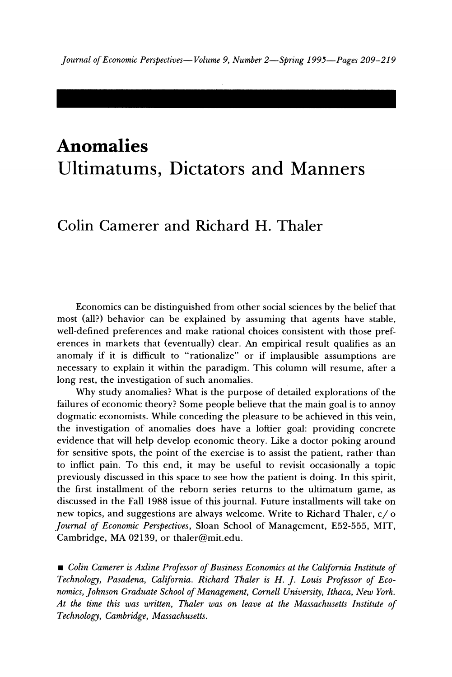# **Anomalies Ultimatums, Dictators and Manners**

# **Colin Camerer and Richard H. Thaler**

**Economics can be distinguished from other social sciences by the belief that most (all?) behavior can be explained by assuming that agents have stable, well-defined preferences and make rational choices consistent with those preferences in markets that (eventually) clear. An empirical result qualifies as an anomaly if it is difficult to "rationalize" or if implausible assumptions are necessary to explain it within the paradigm. This column will resume, after a long rest, the investigation of such anomalies.** 

**Why study anomalies? What is the purpose of detailed explorations of the failures of economic theory? Some people believe that the main goal is to annoy dogmatic economists. While conceding the pleasure to be achieved in this vein, the investigation of anomalies does have a loftier goal: providing concrete evidence that will help develop economic theory. Like a doctor poking around for sensitive spots, the point of the exercise is to assist the patient, rather than to inflict pain. To this end, it may be useful to revisit occasionally a topic previously discussed in this space to see how the patient is doing. In this spirit, the first installment of the reborn series returns to the ultimatum game, as discussed in the Fall 1988 issue of this journal. Future installments will take on new topics, and suggestions are always welcome. Write to Richard Thaler, c/ o Journal of Economic Perspectives, Sloan School of Management, E52-555, MIT, Cambridge, MA 02139, or thaler@mit.edu.** 

**\* Colin Camerer is Axline Professor of Business Economics at the California Institute of Technology, Pasadena, California. Richard Thaler is H. J. Louis Professor of Economics, Johnson Graduate School of Management, Cornell University, Ithaca, New York. At the time this was written, Thaler was on leave at the Massachusetts Institute of Technology, Cambridge, Massachusetts.**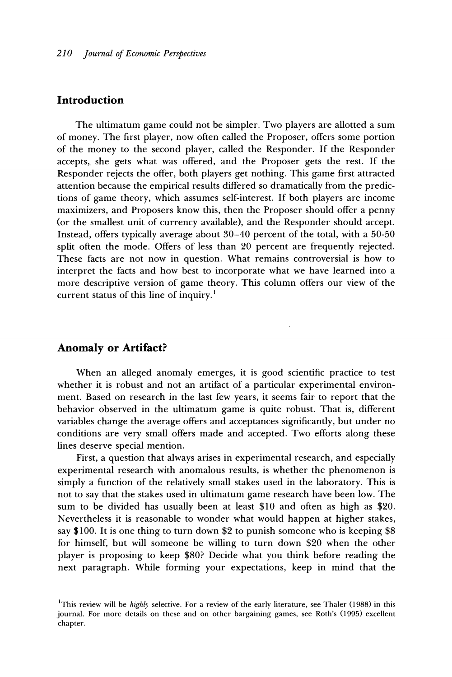### **Introduction**

**The ultimatum game could not be simpler. Two players are allotted a sum of money. The first player, now often called the Proposer, offers some portion of the money to the second player, called the Responder. If the Responder accepts, she gets what was offered, and the Proposer gets the rest. If the Responder rejects the offer, both players get nothing. This game first attracted attention because the empirical results differed so dramatically from the predictions of game theory, which assumes self-interest. If both players are income maximizers, and Proposers know this, then the Proposer should offer a penny (or the smallest unit of currency available), and the Responder should accept. Instead, offers typically average about 30-40 percent of the total, with a 50-50 split often the mode. Offers of less than 20 percent are frequently rejected. These facts are not now in question. What remains controversial is how to interpret the facts and how best to incorporate what we have learned into a more descriptive version of game theory. This column offers our view of the current status of this line of inquiry.'** 

#### **Anomaly or Artifact?**

**When an alleged anomaly emerges, it is good scientific practice to test whether it is robust and not an artifact of a particular experimental environment. Based on research in the last few years, it seems fair to report that the behavior observed in the ultimatum game is quite robust. That is, different variables change the average offers and acceptances significantly, but under no conditions are very small offers made and accepted. Two efforts along these lines deserve special mention.** 

**First, a question that always arises in experimental research, and especially experimental research with anomalous results, is whether the phenomenon is simply a function of the relatively small stakes used in the laboratory. This is not to say that the stakes used in ultimatum game research have been low. The sum to be divided has usually been at least \$10 and often as high as \$20. Nevertheless it is reasonable to wonder what would happen at higher stakes, say \$100. It is one thing to turn down \$2 to punish someone who is keeping \$8 for himself, but will someone be willing to turn down \$20 when the other player is proposing to keep \$80? Decide what you think before reading the next paragraph. While forming your expectations, keep in mind that the** 

**IThis review will be highly selective. For a review of the early literature, see Thaler (1988) in this journal. For more details on these and on other bargaining games, see Roth's (1995) excellent chapter.**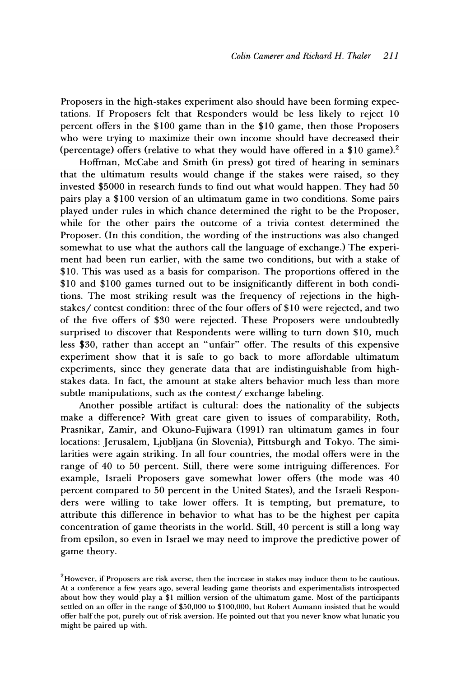**Proposers in the high-stakes experiment also should have been forming expectations. If Proposers felt that Responders would be less likely to reject 10 percent offers in the \$100 game than in the \$10 game, then those Proposers who were trying to maximize their own income should have decreased their (percentage) offers (relative to what they would have offered in a \$10 game).2** 

**Hoffman, McCabe and Smith (in press) got tired of hearing in seminars that the ultimatum results would change if the stakes were raised, so they invested \$5000 in research funds to find out what would happen. They had 50 pairs play a \$100 version of an ultimatum game in two conditions. Some pairs played under rules in which chance determined the right to be the Proposer, while for the other pairs the outcome of a trivia contest determined the Proposer. (In this condition, the wording of the instructions was also changed somewhat to use what the authors call the language of exchange.) The experiment had been run earlier, with the same two conditions, but with a stake of \$10. This was used as a basis for comparison. The proportions offered in the \$10 and \$100 games turned out to be insignificantly different in both conditions. The most striking result was the frequency of rejections in the highstakes/ contest condition: three of the four offers of \$10 were rejected, and two of the five offers of \$30 were rejected. These Proposers were undoubtedly surprised to discover that Respondents were willing to turn down \$10, much less \$30, rather than accept an "unfair" offer. The results of this expensive experiment show that it is safe to go back to more affordable ultimatum experiments, since they generate data that are indistinguishable from highstakes data. In fact, the amount at stake alters behavior much less than more subtle manipulations, such as the contest/ exchange labeling.** 

**Another possible artifact is cultural: does the nationality of the subjects make a difference? With great care given to issues of comparability, Roth, Prasnikar, Zamir, and Okuno-Fujiwara (1991) ran ultimatum games in four locations: Jerusalem, Ljubljana (in Slovenia), Pittsburgh and Tokyo. The similarities were again striking. In all four countries, the modal offers were in the range of 40 to 50 percent. Still, there were some intriguing differences. For example, Israeli Proposers gave somewhat lower offers (the mode was 40 percent compared to 50 percent in the United States), and the Israeli Responders were willing to take lower offers. It is tempting, but premature, to attribute this difference in behavior to what has to be the highest per capita concentration of game theorists in the world. Still, 40 percent is still a long way from epsilon, so even in Israel we may need to improve the predictive power of game theory.** 

**<sup>2</sup>However, if Proposers are risk averse, then the increase in stakes may induce them to be cautious. At a conference a few years ago, several leading game theorists and experimentalists introspected about how they would play a \$1 million version of the ultimatum game. Most of the participants settled on an offer in the range of \$50,000 to \$100,000, but Robert Aumann insisted that he would offer half the pot, purely out of risk aversion. He pointed out that you never know what lunatic you might be paired up with.**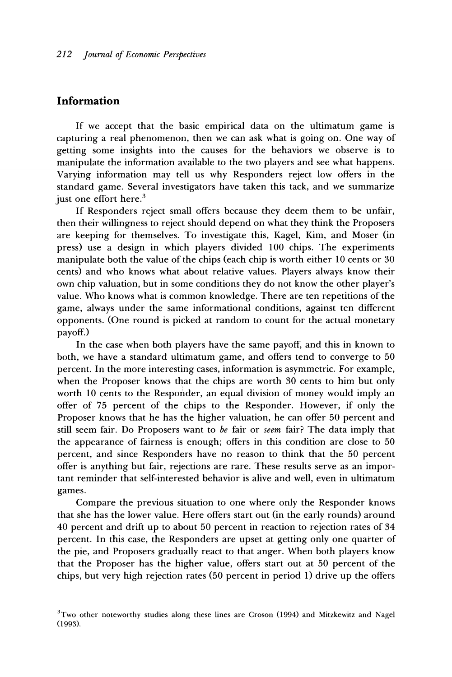## **Information**

**If we accept that the basic empirical data on the ultimatum game is capturing a real phenomenon, then we can ask what is going on. One way of getting some insights into the causes for the behaviors we observe is to manipulate the information available to the two players and see what happens. Varying information may tell us why Responders reject low offers in the standard game. Several investigators have taken this tack, and we summarize just one effort here.3** 

**If Responders reject small offers because they deem them to be unfair, then their willingness to reject should depend on what they think the Proposers are keeping for themselves. To investigate this, Kagel, Kim, and Moser (in press) use a design in which players divided 100 chips. The experiments manipulate both the value of the chips (each chip is worth either 10 cents or 30 cents) and who knows what about relative values. Players always know their own chip valuation, but in some conditions they do not know the other player's value. Who knows what is common knowledge. There are ten repetitions of the game, always under the same informational conditions, against ten different opponents. (One round is picked at random to count for the actual monetary payoff.)** 

**In the case when both players have the same payoff, and this in known to both, we have a standard ultimatum game, and offers tend to converge to 50 percent. In the more interesting cases, information is asymmetric. For example, when the Proposer knows that the chips are worth 30 cents to him but only worth 10 cents to the Responder, an equal division of money would imply an offer of 75 percent of the chips to the Responder. However, if only the Proposer knows that he has the higher valuation, he can offer 50 percent and still seem fair. Do Proposers want to be fair or seem fair? The data imply that the appearance of fairness is enough; offers in this condition are close to 50 percent, and since Responders have no reason to think that the 50 percent offer is anything but fair, rejections are rare. These results serve as an important reminder that self-interested behavior is alive and well, even in ultimatum games.** 

**Compare the previous situation to one where only the Responder knows that she has the lower value. Here offers start out (in the early rounds) around 40 percent and drift up to about 50 percent in reaction to rejection rates of 34 percent. In this case, the Responders are upset at getting only one quarter of the pie, and Proposers gradually react to that anger. When both players know that the Proposer has the higher value, offers start out at 50 percent of the chips, but very high rejection rates (50 percent in period 1) drive up the offers** 

**<sup>3</sup>Two other noteworthy studies along these lines are Croson (1994) and Mitzkewitz and Nagel (1993).**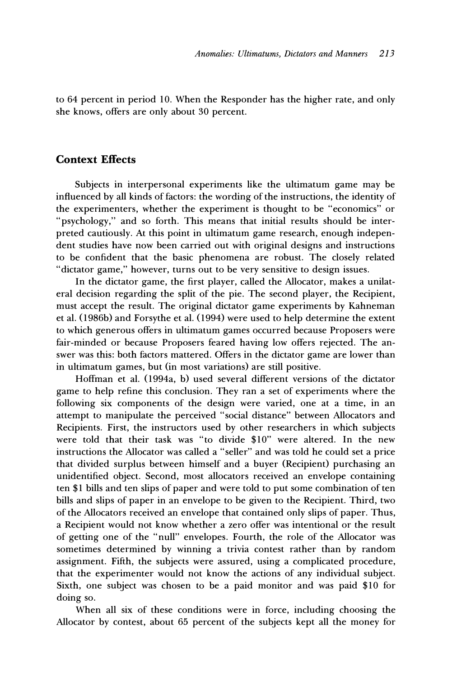**to 64 percent in period 10. When the Responder has the higher rate, and only she knows, offers are only about 30 percent.** 

#### **Context Effects**

**Subjects in interpersonal experiments like the ultimatum game may be influenced by all kinds of factors: the wording of the instructions, the identity of the experimenters, whether the experiment is thought to be "economics" or "psychology," and so forth. This means that initial results should be interpreted cautiously. At this point in ultimatum game research, enough independent studies have now been carried out with original designs and instructions to be confident that the basic phenomena are robust. The closely related "dictator game," however, turns out to be very sensitive to design issues.** 

**In the dictator game, the first player, called the Allocator, makes a unilateral decision regarding the split of the pie. The second player, the Recipient, must accept the result. The original dictator game experiments by Kahneman et al. (1986b) and Forsythe et al. (1994) were used to help determine the extent to which generous offers in ultimatum games occurred because Proposers were fair-minded or because Proposers feared having low offers rejected. The answer was this: both factors mattered. Offers in the dictator game are lower than in ultimatum games, but (in most variations) are still positive.** 

**Hoffman et al. (1994a, b) used several different versions of the dictator game to help refine this conclusion. They ran a set of experiments where the following six components of the design were varied, one at a time, in an attempt to manipulate the perceived "social distance" between Allocators and Recipients. First, the instructors used by other researchers in which subjects were told that their task was "to divide \$10" were altered. In the new instructions the Allocator was called a "seller" and was told he could set a price that divided surplus between himself and a buyer (Recipient) purchasing an unidentified object. Second, most allocators received an envelope containing ten \$1 bills and ten slips of paper and were told to put some combination of ten bills and slips of paper in an envelope to be given to the Recipient. Third, two of the Allocators received an envelope that contained only slips of paper. Thus, a Recipient would not know whether a zero offer was intentional or the result of getting one of the "null" envelopes. Fourth, the role of the Allocator was sometimes determined by winning a trivia contest rather than by random assignment. Fifth, the subjects were assured, using a complicated procedure, that the experimenter would not know the actions of any individual subject. Sixth, one subject was chosen to be a paid monitor and was paid \$10 for doing so.** 

**When all six of these conditions were in force, including choosing the Allocator by contest, about 65 percent of the subjects kept all the money for**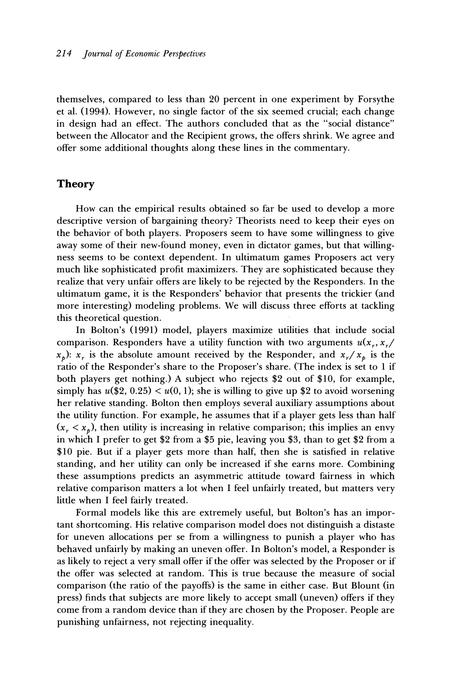**themselves, compared to less than 20 percent in one experiment by Forsythe et al. (1994). However, no single factor of the six seemed crucial; each change in design had an effect. The authors concluded that as the "social distance" between the Allocator and the Recipient grows, the offers shrink. We agree and offer some additional thoughts along these lines in the commentary.** 

#### **Theory**

**How can the empirical results obtained so far be used to develop a more descriptive version of bargaining theory? Theorists need to keep their eyes on the behavior of both players. Proposers seem to have some willingness to give away some of their new-found money, even in dictator games, but that willingness seems to be context dependent. In ultimatum games Proposers act very much like sophisticated profit maximizers. They are sophisticated because they realize that very unfair offers are likely to be rejected by the Responders. In the ultimatum game, it is the Responders' behavior that presents the trickier (and more interesting) modeling problems. We will discuss three efforts at tackling this theoretical question.** 

**In Bolton's (1991) model, players maximize utilities that include social**  comparison. Responders have a utility function with two arguments  $u(x_r, x_r)$  $x_p$ ):  $x_r$  is the absolute amount received by the Responder, and  $x_r/x_p$  is the **ratio of the Responder's share to the Proposer's share. (The index is set to 1 if both players get nothing.) A subject who rejects \$2 out of \$10, for example,**  simply has  $u(\$2, 0.25) < u(0, 1)$ ; she is willing to give up \$2 to avoid worsening **her relative standing. Bolton then employs several auxiliary assumptions about the utility function. For example, he assumes that if a player gets less than half**   $(x_r < x_p)$ , then utility is increasing in relative comparison; this implies an envy **in which I prefer to get \$2 from a \$5 pie, leaving you \$3, than to get \$2 from a \$10 pie. But if a player gets more than half, then she is satisfied in relative standing, and her utility can only be increased if she earns more. Combining these assumptions predicts an asymmetric attitude toward fairness in which relative comparison matters a lot when I feel unfairly treated, but matters very little when I feel fairly treated.** 

**Formal models like this are extremely useful, but Bolton's has an important shortcoming. His relative comparison model does not distinguish a distaste for uneven allocations per se from a willingness to punish a player who has behaved unfairly by making an uneven offer. In Bolton's model, a Responder is as likely to reject a very small offer if the offer was selected by the Proposer or if the offer was selected at random. This is true because the measure of social comparison (the ratio of the payoffs) is the same in either case. But Blount (in press) finds that subjects are more likely to accept small (uneven) offers if they come from a random device than if they are chosen by the Proposer. People are punishing unfairness, not rejecting inequality.**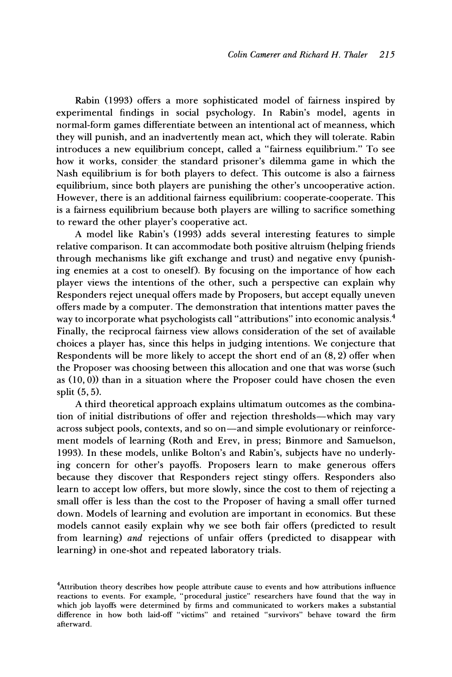**Rabin (1993) offers a more sophisticated model of fairness inspired by experimental findings in social psychology. In Rabin's model, agents in normal-form games differentiate between an intentional act of meanness, which they will punish, and an inadvertently mean act, which they will tolerate. Rabin introduces a new equilibrium concept, called a "fairness equilibrium." To see how it works, consider the standard prisoner's dilemma game in which the Nash equilibrium is for both players to defect. This outcome is also a fairness equilibrium, since both players are punishing the other's uncooperative action. However, there is an additional fairness equilibrium: cooperate-cooperate. This is a fairness equilibrium because both players are willing to sacrifice something to reward the other player's cooperative act.** 

**A model like Rabin's (1993) adds several interesting features to simple relative comparison. It can accommodate both positive altruism (helping friends through mechanisms like gift exchange and trust) and negative envy (punishing enemies at a cost to oneself). By focusing on the importance of how each player views the intentions of the other, such a perspective can explain why Responders reject unequal offers made by Proposers, but accept equally uneven offers made by a computer. The demonstration that intentions matter paves the way to incorporate what psychologists call "attributions" into economic analysis.4 Finally, the reciprocal fairness view allows consideration of the set of available choices a player has, since this helps in judging intentions. We conjecture that Respondents will be more likely to accept the short end of an (8, 2) offer when the Proposer was choosing between this allocation and one that was worse (such as (10, 0)) than in a situation where the Proposer could have chosen the even split (5, 5).** 

**A third theoretical approach explains ultimatum outcomes as the combination of initial distributions of offer and rejection thresholds-which may -vary**  across subject pools, contexts, and so on-and simple evolutionary or reinforce**ment models of learning (Roth and Erev, in press; Binmore and Samuelson, 1993). In these models, unlike Bolton's and Rabin's, subjects have no underlying concern for other's payoffs. Proposers learn to make generous offers because they discover that Responders reject stingy offers. Responders also learn to accept low offers, but more slowly, since the cost to them of rejecting a small offer is less than the cost to the Proposer of having a small offer turned down. Models of learning and evolution are important in economics. But these models cannot easily explain why we see both fair offers (predicted to result from learning) and rejections of unfair offers (predicted to disappear with learning) in one-shot and repeated laboratory trials.** 

**<sup>4</sup>Attribution theory describes how people attribute cause to events and how attributions influence reactions to events. For example, "procedural justice" researchers have found that the way in which job layoffs were determined by firms and communicated to workers makes a substantial difference in how both laid-off "victims" and retained "survivors" behave toward the firm afterward.**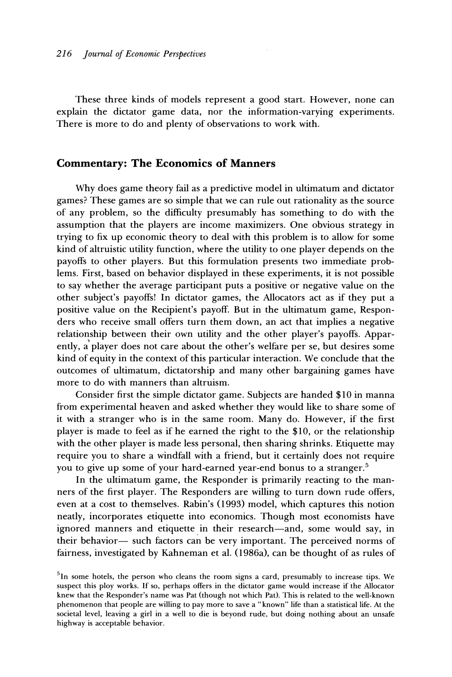**These three kinds of models represent a good start. However, none can explain the dictator game data, nor the information-varying experiments. There is more to do and plenty of observations to work with.** 

#### **Commentary: The Economics of Manners**

**Why does game theory fail as a predictive model in ultimatum and dictator games? These games are so simple that we can rule out rationality as the source of any problem, so the difficulty presumably has something to do with the assumption that the players are income maximizers. One obvious strategy in trying to fix up economic theory to deal with this problem is to allow for some kind of altruistic utility function, where the utility to one player depends on the payoffs to other players. But this formulation presents two immediate problems. First, based on behavior displayed in these experiments, it is not possible to say whether the average participant puts a positive or negative value on the other subject's payoffs! In dictator games, the Allocators act as if they put a positive value on the Recipient's payoff. But in the ultimatum game, Responders who receive small offers turn them down, an act that implies a negative relationship between their own utility and the other player's payoffs. Apparently, a player does not care about the other's welfare per se, but desires some kind of equity in the context of this particular interaction. We conclude that the outcomes of ultimatum, dictatorship and many other bargaining games have more to do with manners than altruism.** 

**Consider first the simple dictator game. Subjects are handed \$10 in manna from experimental heaven and asked whether they would like to share some of it with a stranger who is in the same room. Many do. However, if the first player is made to feel as if he earned the right to the \$10, or the relationship with the other player is made less personal, then sharing shrinks. Etiquette may require you to share a windfall with a friend, but it certainly does not require you to give up some of your hard-earned year-end bonus to a stranger.5** 

**In the ultimatum game, the Responder is primarily reacting to the manners of the first player. The Responders are willing to turn down rude offers, even at a cost to themselves. Rabin's (1993) model, which captures this notion neatly, incorporates etiquette into economics. Though most economists have ignored manners and etiquette in their research-and, some would say, in their behavior- such factors can be very important. The perceived norms of fairness, investigated by Kahneman et al. (1986a), can be thought of as rules of** 

**<sup>5</sup>In some hotels, the person who cleans the room signs a card, presumably to increase tips. We suspect this ploy works. If so, perhaps offers in the dictator game would increase if the Allocator knew that the Responder's name was Pat (though not which Pat). This is related to the well-known phenomenon that people are willing to pay more to save a "known" life than a statistical life. At the societal level, leaving a girl in a well to die is beyond rude, but doing nothing about an unsafe highway is acceptable behavior.**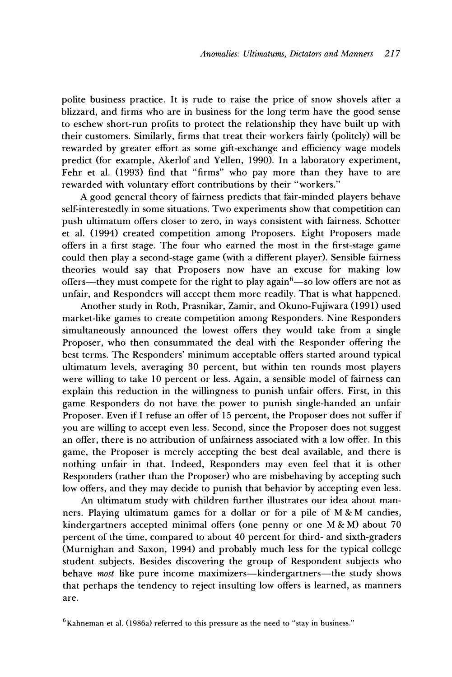**polite business practice. It is rude to raise the price of snow shovels after a blizzard, and firms who are in business for the long term have the good sense to eschew short-run profits to protect the relationship they have built up with their customers. Similarly, firms that treat their workers fairly (politely) will be rewarded by greater effort as some gift-exchange and efficiency wage models predict (for example, Akerlof and Yellen, 1990). In a laboratory experiment, Fehr et al. (1993) find that "firms" who pay more than they have to are rewarded with voluntary effort contributions by their "workers."** 

**A good general theory of fairness predicts that fair-minded players behave self-interestedly in some situations. Two experiments show that competition can push ultimatum offers closer to zero, in ways consistent with fairness. Schotter et al. (1994) created competition among Proposers. Eight Proposers made offers in a first stage. The four who earned the most in the first-stage game could then play a second-stage game (with a different player). Sensible fairness theories would say that Proposers now have an excuse for making low**  offers-they must compete for the right to play again<sup>6</sup>-so low offers are not as **unfair, and Responders will accept them more readily. That is what happened.** 

**Another study in Roth, Prasnikar, Zamir, and Okuno-Fujiwara (1991) used market-like games to create competition among Responders. Nine Responders simultaneously announced the lowest offers they would take from a single Proposer, who then consummated the deal with the Responder offering the best terms. The Responders' minimum acceptable offers started around typical ultimatum levels, averaging 30 percent, but within ten rounds most players were willing to take 10 percent or less. Again, a sensible model of fairness can explain this reduction in the willingness to punish unfair offers. First, in this game Responders do not have the power to punish single-handed an unfair Proposer. Even if I refuse an offer of 15 percent, the Proposer does not suffer if you are willing to accept even less. Second, since the Proposer does not suggest an offer, there is no attribution of unfairness associated with a low offer. In this game, the Proposer is merely accepting the best deal available, and there is nothing unfair in that. Indeed, Responders may even feel that it is other Responders (rather than the Proposer) who are misbehaving by accepting such low offers, and they may decide to punish that behavior by accepting even less.** 

**An ultimatum study with children further illustrates our idea about manners. Playing ultimatum games for a dollar or for a pile of M & M candies, kindergartners accepted minimal offers (one penny or one M & M) about 70 percent of the time, compared to about 40 percent for third- and sixth-graders (Murnighan and Saxon, 1994) and probably much less for the typical college student subjects. Besides discovering the group of Respondent subjects who**  behave most like pure income maximizers-kindergartners-the study shows **that perhaps the tendency to reject insulting low offers is learned, as manners are.** 

<sup>&</sup>lt;sup>6</sup> Kahneman et al. (1986a) referred to this pressure as the need to "stay in business."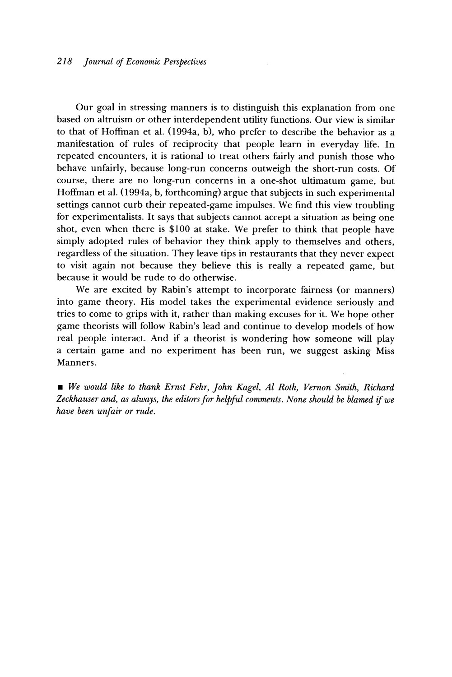**Our goal in stressing manners is to distinguish this explanation from one based on altruism or other interdependent utility functions. Our view is similar to that of Hoffman et al. (1994a, b), who prefer to describe the behavior as a manifestation of rules of reciprocity that people learn in everyday life. In repeated encounters, it is rational to treat others fairly and punish those who behave unfairly, because long-run concerns outweigh the short-run costs. Of course, there are no long-run concerns in a one-shot ultimatum game, but Hoffman et al. (1994a, b, forthcoming) argue that subjects in such experimental settings cannot curb their repeated-game impulses. We find this view troubling for experimentalists. It says that subjects cannot accept a situation as being one shot, even when there is \$100 at stake. We prefer to think that people have simply adopted rules of behavior they think apply to themselves and others, regardless of the situation. They leave tips in restaurants that they never expect to visit again not because they believe this is really a repeated game, but because it would be rude to do otherwise.** 

**We are excited by Rabin's attempt to incorporate fairness (or manners) into game theory. His model takes the experimental evidence seriously and tries to come to grips with it, rather than making excuses for it. We hope other game theorists will follow Rabin's lead and continue to develop models of how real people interact. And if a theorist is wondering how someone will play a certain game and no experiment has been run, we suggest asking Miss Manners.** 

**\* We would like to thank Ernst Fehr, John Kagel, Al Roth, Vernon Smith, Richard Zeckhauser and, as always, the editors for helpful comments. None should be blamed if we have been unfair or rude.**